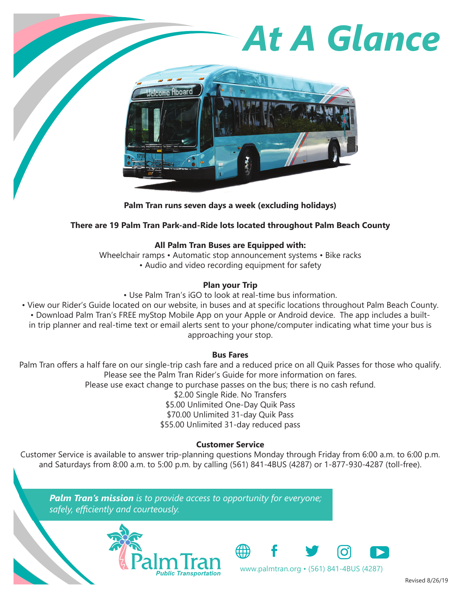# *At A Glance* Jelcome Aboard

### **Palm Tran runs seven days a week (excluding holidays)**

# **There are 19 Palm Tran Park-and-Ride lots located throughout Palm Beach County**

# **All Palm Tran Buses are Equipped with:**

Wheelchair ramps • Automatic stop announcement systems • Bike racks • Audio and video recording equipment for safety

# **Plan your Trip**

• Use Palm Tran's iGO to look at real-time bus information.

• View our Rider's Guide located on our website, in buses and at specific locations throughout Palm Beach County. • Download Palm Tran's FREE myStop Mobile App on your Apple or Android device. The app includes a builtin trip planner and real-time text or email alerts sent to your phone/computer indicating what time your bus is approaching your stop.

# **Bus Fares**

Palm Tran offers a half fare on our single-trip cash fare and a reduced price on all Quik Passes for those who qualify. Please see the Palm Tran Rider's Guide for more information on fares. Please use exact change to purchase passes on the bus; there is no cash refund. \$2.00 Single Ride. No Transfers \$5.00 Unlimited One-Day Quik Pass \$70.00 Unlimited 31-day Quik Pass \$55.00 Unlimited 31-day reduced pass

# **Customer Service**

Customer Service is available to answer trip-planning questions Monday through Friday from 6:00 a.m. to 6:00 p.m. and Saturdays from 8:00 a.m. to 5:00 p.m. by calling (561) 841-4BUS (4287) or 1-877-930-4287 (toll-free).

*Palm Tran's mission is to provide access to opportunity for everyone; safely, efficiently and courteously.*





Revised 8/26/19